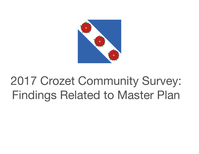

# 2017 Crozet Community Survey: Findings Related to Master Plan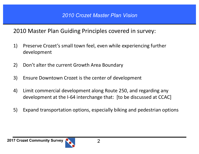#### 2010 Master Plan Guiding Principles covered in survey:

- 1) Preserve Crozet's small town feel, even while experiencing further development
- 2) Don't alter the current Growth Area Boundary
- 3) Ensure Downtown Crozet is the center of development
- 4) Limit commercial development along Route 250, and regarding any development at the I-64 interchange that: [to be discussed at CCAC]
- 5) Expand transportation options, especially biking and pedestrian options

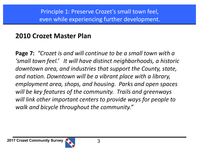## **2010 Crozet Master Plan**

**Page 7:** "Crozet is and will continue to be a small town with a 'small town feel.' It will have distinct neighborhoods, a historic downtown area, and industries that support the County, state, and nation. Downtown will be a vibrant place with a library, *employment area, shops, and housing. Parks and open spaces* will be key features of the community. Trails and greenways *will link other important centers to provide ways for people to walk and bicycle throughout the community."*

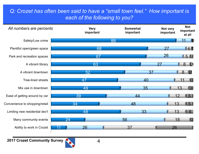#### *Q: Crozet has often been said to have a "small town feel." How important is each of the following to you?*



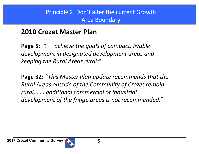#### Principle 2: Don't alter the current Growth Area Boundary

#### **2010 Crozet Master Plan**

**Page 5: "... achieve the goals of compact, livable** development in designated development areas and *keeping the Rural Areas rural."* 

**Page 32:** "This Master Plan update recommends that the *Rural Areas outside of the Community of Crozet remain rural, . . . additional commercial or industrial*  development of the fringe areas is not recommended."

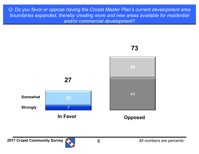*Q: Do you favor or oppose having the Crozet Master Plan's current development area boundaries expanded, thereby creating more and new areas available for residential and/or commercial development?*

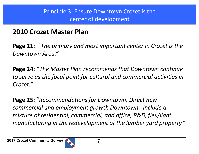#### Principle 3: Ensure Downtown Crozet is the center of development

## **2010 Crozet Master Plan**

**Page 21:** "The primary and most important center in Crozet is the *Downtown Area."* 

**Page 24:** "The Master Plan recommends that Downtown continue to serve as the focal point for cultural and commercial activities in *Crozet."* 

**Page 25: "Recommendations for Downtown: Direct new** *commercial and employment growth Downtown. Include a mixture of residential, commercial, and office, R&D, flex/light manufacturing in the redevelopment of the lumber yard property."* 

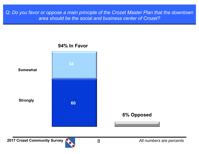*Q: Do you favor or oppose a main principle of the Crozet Master Plan that the downtown area should be the social and business center of Crozet?*

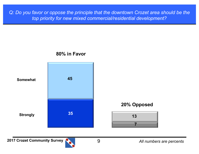*Q: Do you favor or oppose the principle that the downtown Crozet area should be the top priority for new mixed commercial/residential development?*

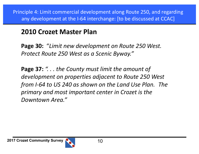Principle 4: Limit commercial development along Route 250, and regarding any development at the I-64 interchange: [to be discussed at CCAC]

## **2010 Crozet Master Plan**

**Page 30:** "Limit new development on Route 250 West. *Protect Route 250 West as a Scenic Byway."*

**Page 37:**  $\degree$ ... the County must limit the amount of development on properties adjacent to Route 250 West *from I-64 to US 240 as shown on the Land Use Plan.* The *primary and most important center in Crozet is the Downtown Area."*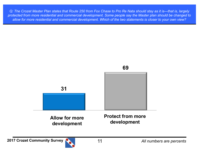*Q: The Crozet Master Plan states that Route 250 from Fox Chase to Pro Re Nata should stay as it is—that is, largely protected from more residential and commercial development. Some people say the Master plan should be changed to allow for more residential and commercial development. Which of the two statements is closer to your own view?*

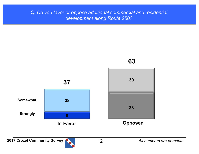#### *Q: Do you favor or oppose additional commercial and residential development along Route 250?*

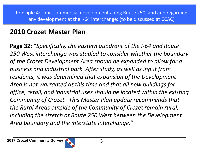## **2010 Crozet Master Plan**

**Page 32: "***Specifically, the eastern quadrant of the I-64 and Route* 250 West interchange was studied to consider whether the boundary of the Crozet Development Area should be expanded to allow for a business and industrial park. After study, as well as input from residents, it was determined that expansion of the Development Area is not warranted at this time and that all new buildings for *office, retail, and industrial uses should be located within the existing Community of Crozet. This Master Plan update recommends that* the Rural Areas outside of the Community of Crozet remain rural, *including the stretch of Route 250 West between the Development* Area boundary and the interstate interchange."

**2017 Crozet Community Survey 2017 Crozet Community Survey** 

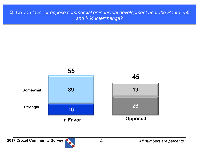**Q: Do you favor or oppose commercial or industrial development near the Route 250** *and I-64 interchange?*



**2017 Crozet Community Survey <b>Parts** 2017 Crozet Community Survey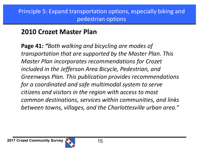## **2010 Crozet Master Plan**

**Page 41: "Both walking and bicycling are modes of** *transportation that are supported by the Master Plan. This Master Plan incorporates recommendations for Crozet included in the Jefferson Area Bicycle, Pedestrian, and* Greenways Plan. This publication provides recommendations *for a coordinated and safe multimodal system to serve citizens and visitors in the region with access to most common destinations, services within communities, and links*  between towns, villages, and the Charlottesville urban area."